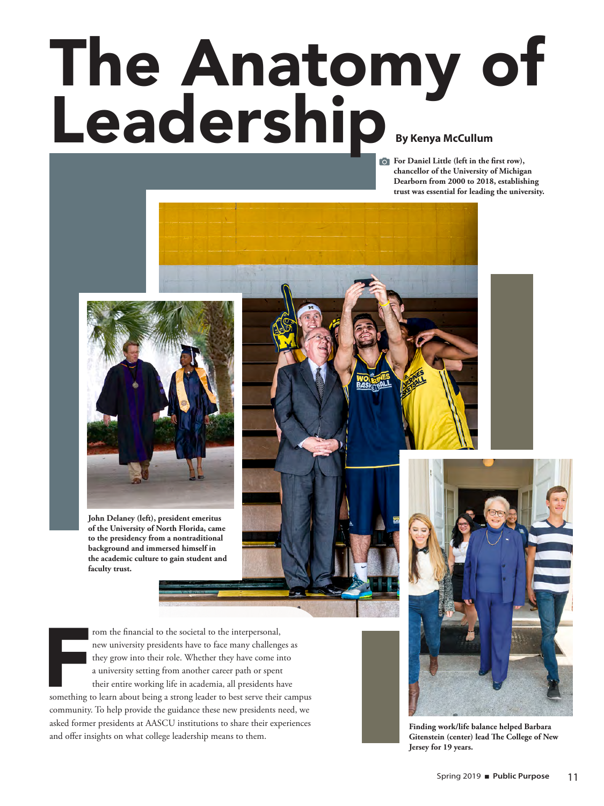# The Anatomy of Leadership<br>By Kenya McCullum

**For Daniel Little (left in the first row), chancellor of the University of Michigan Dearborn from 2000 to 2018, establishing trust was essential for leading the university.** 



**John Delaney (left), president emeritus of the University of North Florida, came to the presidency from a nontraditional background and immersed himself in the academic culture to gain student and faculty trust.**

From the financial to the societal to the interpersonal,<br>new university presidents have to face many challenges as<br>they grow into their role. Whether they have come into<br>a university setting from another career path or spe rom the financial to the societal to the interpersonal, new university presidents have to face many challenges as they grow into their role. Whether they have come into a university setting from another career path or spent their entire working life in academia, all presidents have

community. To help provide the guidance these new presidents need, we asked former presidents at AASCU institutions to share their experiences and offer insights on what college leadership means to them.



**Finding work/life balance helped Barbara Gitenstein (center) lead The College of New Jersey for 19 years.**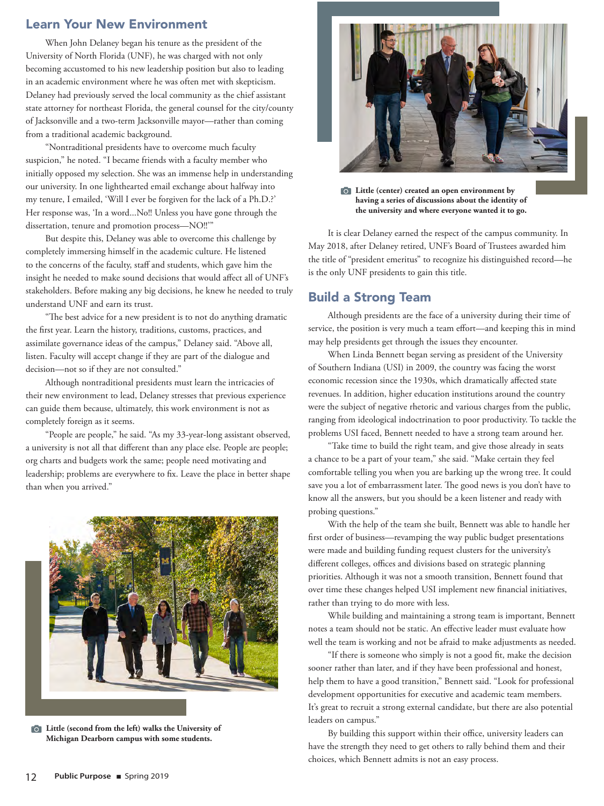## Learn Your New Environment

When John Delaney began his tenure as the president of the University of North Florida (UNF), he was charged with not only becoming accustomed to his new leadership position but also to leading in an academic environment where he was often met with skepticism. Delaney had previously served the local community as the chief assistant state attorney for northeast Florida, the general counsel for the city/county of Jacksonville and a two-term Jacksonville mayor—rather than coming from a traditional academic background.

"Nontraditional presidents have to overcome much faculty suspicion," he noted. "I became friends with a faculty member who initially opposed my selection. She was an immense help in understanding our university. In one lighthearted email exchange about halfway into my tenure, I emailed, 'Will I ever be forgiven for the lack of a Ph.D.?' Her response was, 'In a word...No!! Unless you have gone through the dissertation, tenure and promotion process—NO!!'"

But despite this, Delaney was able to overcome this challenge by completely immersing himself in the academic culture. He listened to the concerns of the faculty, staff and students, which gave him the insight he needed to make sound decisions that would affect all of UNF's stakeholders. Before making any big decisions, he knew he needed to truly understand UNF and earn its trust.

"The best advice for a new president is to not do anything dramatic the first year. Learn the history, traditions, customs, practices, and assimilate governance ideas of the campus," Delaney said. "Above all, listen. Faculty will accept change if they are part of the dialogue and decision—not so if they are not consulted."

Although nontraditional presidents must learn the intricacies of their new environment to lead, Delaney stresses that previous experience can guide them because, ultimately, this work environment is not as completely foreign as it seems.

"People are people," he said. "As my 33-year-long assistant observed, a university is not all that different than any place else. People are people; org charts and budgets work the same; people need motivating and leadership; problems are everywhere to fix. Leave the place in better shape than when you arrived."



**Little (second from the left) walks the University of Michigan Dearborn campus with some students.**



**Little (center) created an open environment by having a series of discussions about the identity of the university and where everyone wanted it to go.**

It is clear Delaney earned the respect of the campus community. In May 2018, after Delaney retired, UNF's Board of Trustees awarded him the title of "president emeritus" to recognize his distinguished record—he is the only UNF presidents to gain this title.

### Build a Strong Team

Although presidents are the face of a university during their time of service, the position is very much a team effort—and keeping this in mind may help presidents get through the issues they encounter.

When Linda Bennett began serving as president of the University of Southern Indiana (USI) in 2009, the country was facing the worst economic recession since the 1930s, which dramatically affected state revenues. In addition, higher education institutions around the country were the subject of negative rhetoric and various charges from the public, ranging from ideological indoctrination to poor productivity. To tackle the problems USI faced, Bennett needed to have a strong team around her.

"Take time to build the right team, and give those already in seats a chance to be a part of your team," she said. "Make certain they feel comfortable telling you when you are barking up the wrong tree. It could save you a lot of embarrassment later. The good news is you don't have to know all the answers, but you should be a keen listener and ready with probing questions."

With the help of the team she built, Bennett was able to handle her first order of business—revamping the way public budget presentations were made and building funding request clusters for the university's different colleges, offices and divisions based on strategic planning priorities. Although it was not a smooth transition, Bennett found that over time these changes helped USI implement new financial initiatives, rather than trying to do more with less.

While building and maintaining a strong team is important, Bennett notes a team should not be static. An effective leader must evaluate how well the team is working and not be afraid to make adjustments as needed.

"If there is someone who simply is not a good fit, make the decision sooner rather than later, and if they have been professional and honest, help them to have a good transition," Bennett said. "Look for professional development opportunities for executive and academic team members. It's great to recruit a strong external candidate, but there are also potential leaders on campus."

By building this support within their office, university leaders can have the strength they need to get others to rally behind them and their choices, which Bennett admits is not an easy process.